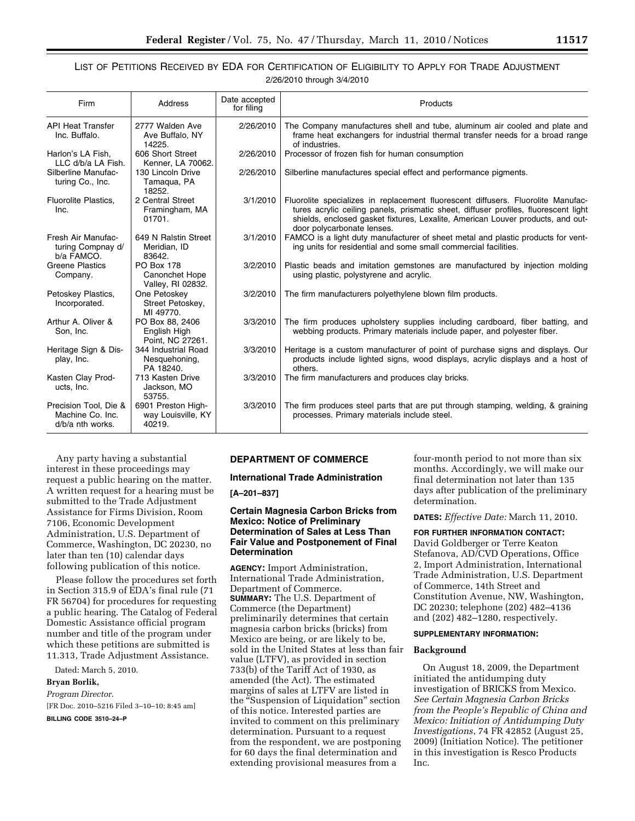# LIST OF PETITIONS RECEIVED BY EDA FOR CERTIFICATION OF ELIGIBILITY TO APPLY FOR TRADE ADJUSTMENT 2/26/2010 through 3/4/2010

| Firm                                                          | Address                                                  | Date accepted<br>for filing | Products                                                                                                                                                                                                                                                                                 |
|---------------------------------------------------------------|----------------------------------------------------------|-----------------------------|------------------------------------------------------------------------------------------------------------------------------------------------------------------------------------------------------------------------------------------------------------------------------------------|
| <b>API Heat Transfer</b><br>Inc. Buffalo.                     | 2777 Walden Ave<br>Ave Buffalo, NY<br>14225.             | 2/26/2010                   | The Company manufactures shell and tube, aluminum air cooled and plate and<br>frame heat exchangers for industrial thermal transfer needs for a broad range<br>of industries.                                                                                                            |
| Harlon's LA Fish,<br>LLC d/b/a LA Fish.                       | 606 Short Street<br>Kenner, LA 70062.                    | 2/26/2010                   | Processor of frozen fish for human consumption                                                                                                                                                                                                                                           |
| Silberline Manufac-<br>turing Co., Inc.                       | 130 Lincoln Drive<br>Tamaqua, PA<br>18252.               | 2/26/2010                   | Silberline manufactures special effect and performance pigments.                                                                                                                                                                                                                         |
| Fluorolite Plastics.<br>Inc.                                  | 2 Central Street<br>Framingham, MA<br>01701.             | 3/1/2010                    | Fluorolite specializes in replacement fluorescent diffusers. Fluorolite Manufac-<br>tures acrylic ceiling panels, prismatic sheet, diffuser profiles, fluorescent light<br>shields, enclosed gasket fixtures, Lexalite, American Louver products, and out-<br>door polycarbonate lenses. |
| Fresh Air Manufac-<br>turing Compnay d/<br>b/a FAMCO.         | 649 N Ralstin Street<br>Meridian, ID<br>83642.           | 3/1/2010                    | FAMCO is a light duty manufacturer of sheet metal and plastic products for vent-<br>ing units for residential and some small commercial facilities.                                                                                                                                      |
| <b>Greene Plastics</b><br>Company.                            | <b>PO Box 178</b><br>Canonchet Hope<br>Valley, RI 02832. | 3/2/2010                    | Plastic beads and imitation gemstones are manufactured by injection molding<br>using plastic, polystyrene and acrylic.                                                                                                                                                                   |
| Petoskey Plastics,<br>Incorporated.                           | One Petoskey<br>Street Petoskev.<br>MI 49770.            | 3/2/2010                    | The firm manufacturers polyethylene blown film products.                                                                                                                                                                                                                                 |
| Arthur A. Oliver &<br>Son. Inc.                               | PO Box 88, 2406<br>English High<br>Point, NC 27261.      | 3/3/2010                    | The firm produces upholstery supplies including cardboard, fiber batting, and<br>webbing products. Primary materials include paper, and polyester fiber.                                                                                                                                 |
| Heritage Sign & Dis-<br>play, Inc.                            | 344 Industrial Road<br>Nesquehoning,<br>PA 18240.        | 3/3/2010                    | Heritage is a custom manufacturer of point of purchase signs and displays. Our<br>products include lighted signs, wood displays, acrylic displays and a host of<br>others.                                                                                                               |
| Kasten Clay Prod-<br>ucts, Inc.                               | 713 Kasten Drive<br>Jackson, MO<br>53755.                | 3/3/2010                    | The firm manufacturers and produces clay bricks.                                                                                                                                                                                                                                         |
| Precision Tool, Die &<br>Machine Co. Inc.<br>d/b/a nth works. | 6901 Preston High-<br>way Louisville, KY<br>40219.       | 3/3/2010                    | The firm produces steel parts that are put through stamping, welding, & graining<br>processes. Primary materials include steel.                                                                                                                                                          |

Any party having a substantial interest in these proceedings may request a public hearing on the matter. A written request for a hearing must be submitted to the Trade Adjustment Assistance for Firms Division, Room 7106, Economic Development Administration, U.S. Department of Commerce, Washington, DC 20230, no later than ten (10) calendar days following publication of this notice.

Please follow the procedures set forth in Section 315.9 of EDA's final rule (71 FR 56704) for procedures for requesting a public hearing. The Catalog of Federal Domestic Assistance official program number and title of the program under which these petitions are submitted is 11.313, Trade Adjustment Assistance.

Dated: March 5, 2010.

# **Bryan Borlik,**

*Program Director.*  [FR Doc. 2010–5216 Filed 3–10–10; 8:45 am]

**BILLING CODE 3510–24–P** 

### **DEPARTMENT OF COMMERCE**

**International Trade Administration** 

**[A–201–837]** 

## **Certain Magnesia Carbon Bricks from Mexico: Notice of Preliminary Determination of Sales at Less Than Fair Value and Postponement of Final Determination**

**AGENCY:** Import Administration, International Trade Administration, Department of Commerce. **SUMMARY:** The U.S. Department of Commerce (the Department) preliminarily determines that certain magnesia carbon bricks (bricks) from Mexico are being, or are likely to be, sold in the United States at less than fair value (LTFV), as provided in section 733(b) of the Tariff Act of 1930, as amended (the Act). The estimated margins of sales at LTFV are listed in the ''Suspension of Liquidation'' section of this notice. Interested parties are invited to comment on this preliminary determination. Pursuant to a request from the respondent, we are postponing for 60 days the final determination and extending provisional measures from a

four-month period to not more than six months. Accordingly, we will make our final determination not later than 135 days after publication of the preliminary determination.

**DATES:** *Effective Date:* March 11, 2010.

# **FOR FURTHER INFORMATION CONTACT:**

David Goldberger or Terre Keaton Stefanova, AD/CVD Operations, Office 2, Import Administration, International Trade Administration, U.S. Department of Commerce, 14th Street and Constitution Avenue, NW, Washington, DC 20230; telephone (202) 482–4136 and (202) 482–1280, respectively.

### **SUPPLEMENTARY INFORMATION:**

### **Background**

On August 18, 2009, the Department initiated the antidumping duty investigation of BRICKS from Mexico. *See Certain Magnesia Carbon Bricks from the People's Republic of China and Mexico: Initiation of Antidumping Duty Investigations*, 74 FR 42852 (August 25, 2009) (Initiation Notice). The petitioner in this investigation is Resco Products Inc.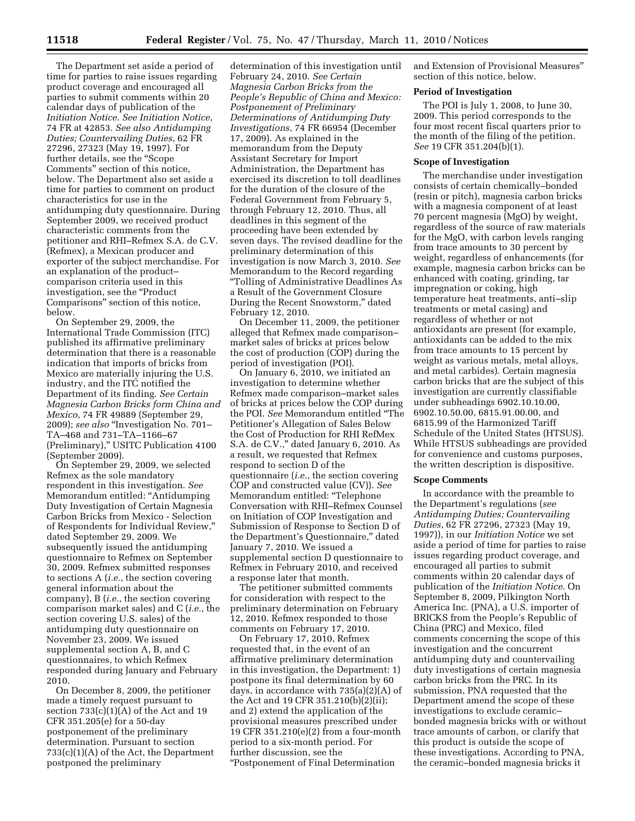The Department set aside a period of time for parties to raise issues regarding product coverage and encouraged all parties to submit comments within 20 calendar days of publication of the *Initiation Notice. See Initiation Notice*, 74 FR at 42853. *See also Antidumping Duties; Countervailing Duties*, 62 FR 27296, 27323 (May 19, 1997). For further details, see the "Scope" Comments'' section of this notice, below. The Department also set aside a time for parties to comment on product characteristics for use in the antidumping duty questionnaire. During September 2009, we received product characteristic comments from the petitioner and RHI–Refmex S.A. de C.V. (Refmex), a Mexican producer and exporter of the subject merchandise. For an explanation of the product– comparison criteria used in this investigation, see the ''Product Comparisons'' section of this notice, below.

On September 29, 2009, the International Trade Commission (ITC) published its affirmative preliminary determination that there is a reasonable indication that imports of bricks from Mexico are materially injuring the U.S. industry, and the ITC notified the Department of its finding. *See Certain Magnesia Carbon Bricks form China and Mexico*, 74 FR 49889 (September 29, 2009); *see also* ''Investigation No. 701– TA–468 and 731–TA–1166–67 (Preliminary),'' USITC Publication 4100 (September 2009).

On September 29, 2009, we selected Refmex as the sole mandatory respondent in this investigation. *See*  Memorandum entitled: ''Antidumping Duty Investigation of Certain Magnesia Carbon Bricks from Mexico - Selection of Respondents for Individual Review,'' dated September 29, 2009. We subsequently issued the antidumping questionnaire to Refmex on September 30, 2009. Refmex submitted responses to sections A (*i.e.*, the section covering general information about the company), B (*i.e.*, the section covering comparison market sales) and C (*i.e.*, the section covering U.S. sales) of the antidumping duty questionnaire on November 23, 2009. We issued supplemental section A, B, and C questionnaires, to which Refmex responded during January and February 2010.

On December 8, 2009, the petitioner made a timely request pursuant to section  $733(c)(1)(A)$  of the Act and 19 CFR 351.205(e) for a 50-day postponement of the preliminary determination. Pursuant to section 733(c)(1)(A) of the Act, the Department postponed the preliminary

determination of this investigation until February 24, 2010. *See Certain Magnesia Carbon Bricks from the People's Republic of China and Mexico: Postponement of Preliminary Determinations of Antidumping Duty Investigations*, 74 FR 66954 (December 17, 2009). As explained in the memorandum from the Deputy Assistant Secretary for Import Administration, the Department has exercised its discretion to toll deadlines for the duration of the closure of the Federal Government from February 5, through February 12, 2010. Thus, all deadlines in this segment of the proceeding have been extended by seven days. The revised deadline for the preliminary determination of this investigation is now March 3, 2010. *See*  Memorandum to the Record regarding ''Tolling of Administrative Deadlines As a Result of the Government Closure During the Recent Snowstorm,'' dated February 12, 2010.

On December 11, 2009, the petitioner alleged that Refmex made comparison– market sales of bricks at prices below the cost of production (COP) during the period of investigation (POI).

On January 6, 2010, we initiated an investigation to determine whether Refmex made comparison–market sales of bricks at prices below the COP during the POI. *See* Memorandum entitled ''The Petitioner's Allegation of Sales Below the Cost of Production for RHI RefMex S.A. de C.V.,'' dated January 6, 2010. As a result, we requested that Refmex respond to section D of the questionnaire (*i.e.*, the section covering COP and constructed value (CV)). *See*  Memorandum entitled: ''Telephone Conversation with RHI–Refmex Counsel on Initiation of COP Investigation and Submission of Response to Section D of the Department's Questionnaire,'' dated January 7, 2010. We issued a supplemental section D questionnaire to Refmex in February 2010, and received a response later that month.

The petitioner submitted comments for consideration with respect to the preliminary determination on February 12, 2010. Refmex responded to those comments on February 17, 2010.

On February 17, 2010, Refmex requested that, in the event of an affirmative preliminary determination in this investigation, the Department: 1) postpone its final determination by 60 days, in accordance with 735(a)(2)(A) of the Act and 19 CFR 351.210(b)(2)(ii); and 2) extend the application of the provisional measures prescribed under 19 CFR 351.210(e)(2) from a four-month period to a six-month period. For further discussion, see the ''Postponement of Final Determination

and Extension of Provisional Measures'' section of this notice, below.

#### **Period of Investigation**

The POI is July 1, 2008, to June 30, 2009. This period corresponds to the four most recent fiscal quarters prior to the month of the filing of the petition. *See* 19 CFR 351.204(b)(1).

# **Scope of Investigation**

The merchandise under investigation consists of certain chemically–bonded (resin or pitch), magnesia carbon bricks with a magnesia component of at least 70 percent magnesia (MgO) by weight, regardless of the source of raw materials for the MgO, with carbon levels ranging from trace amounts to 30 percent by weight, regardless of enhancements (for example, magnesia carbon bricks can be enhanced with coating, grinding, tar impregnation or coking, high temperature heat treatments, anti–slip treatments or metal casing) and regardless of whether or not antioxidants are present (for example, antioxidants can be added to the mix from trace amounts to 15 percent by weight as various metals, metal alloys, and metal carbides). Certain magnesia carbon bricks that are the subject of this investigation are currently classifiable under subheadings 6902.10.10.00, 6902.10.50.00, 6815.91.00.00, and 6815.99 of the Harmonized Tariff Schedule of the United States (HTSUS). While HTSUS subheadings are provided for convenience and customs purposes, the written description is dispositive.

#### **Scope Comments**

In accordance with the preamble to the Department's regulations (*see Antidumping Duties; Countervailing Duties*, 62 FR 27296, 27323 (May 19, 1997)), in our *Initiation Notice* we set aside a period of time for parties to raise issues regarding product coverage, and encouraged all parties to submit comments within 20 calendar days of publication of the *Initiation Notice*. On September 8, 2009, Pilkington North America Inc. (PNA), a U.S. importer of BRICKS from the People's Republic of China (PRC) and Mexico, filed comments concerning the scope of this investigation and the concurrent antidumping duty and countervailing duty investigations of certain magnesia carbon bricks from the PRC. In its submission, PNA requested that the Department amend the scope of these investigations to exclude ceramic– bonded magnesia bricks with or without trace amounts of carbon, or clarify that this product is outside the scope of these investigations. According to PNA, the ceramic–bonded magnesia bricks it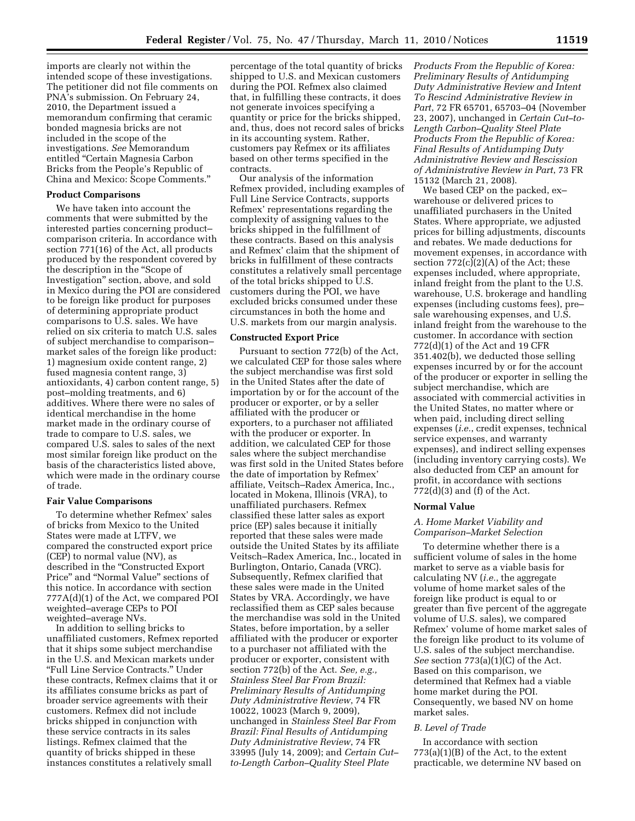imports are clearly not within the intended scope of these investigations. The petitioner did not file comments on PNA's submission. On February 24, 2010, the Department issued a memorandum confirming that ceramic bonded magnesia bricks are not included in the scope of the investigations. *See* Memorandum entitled ''Certain Magnesia Carbon Bricks from the People's Republic of China and Mexico: Scope Comments.''

# **Product Comparisons**

We have taken into account the comments that were submitted by the interested parties concerning product– comparison criteria. In accordance with section 771(16) of the Act, all products produced by the respondent covered by the description in the ''Scope of Investigation'' section, above, and sold in Mexico during the POI are considered to be foreign like product for purposes of determining appropriate product comparisons to U.S. sales. We have relied on six criteria to match U.S. sales of subject merchandise to comparison– market sales of the foreign like product: 1) magnesium oxide content range, 2) fused magnesia content range, 3) antioxidants, 4) carbon content range, 5) post–molding treatments, and 6) additives. Where there were no sales of identical merchandise in the home market made in the ordinary course of trade to compare to U.S. sales, we compared U.S. sales to sales of the next most similar foreign like product on the basis of the characteristics listed above, which were made in the ordinary course of trade.

### **Fair Value Comparisons**

To determine whether Refmex' sales of bricks from Mexico to the United States were made at LTFV, we compared the constructed export price (CEP) to normal value (NV), as described in the ''Constructed Export Price'' and ''Normal Value'' sections of this notice. In accordance with section 777A(d)(1) of the Act, we compared POI weighted–average CEPs to POI weighted–average NVs.

In addition to selling bricks to unaffiliated customers, Refmex reported that it ships some subject merchandise in the U.S. and Mexican markets under ''Full Line Service Contracts.'' Under these contracts, Refmex claims that it or its affiliates consume bricks as part of broader service agreements with their customers. Refmex did not include bricks shipped in conjunction with these service contracts in its sales listings. Refmex claimed that the quantity of bricks shipped in these instances constitutes a relatively small

percentage of the total quantity of bricks shipped to U.S. and Mexican customers during the POI. Refmex also claimed that, in fulfilling these contracts, it does not generate invoices specifying a quantity or price for the bricks shipped, and, thus, does not record sales of bricks in its accounting system. Rather, customers pay Refmex or its affiliates based on other terms specified in the contracts.

Our analysis of the information Refmex provided, including examples of Full Line Service Contracts, supports Refmex' representations regarding the complexity of assigning values to the bricks shipped in the fulfillment of these contracts. Based on this analysis and Refmex' claim that the shipment of bricks in fulfillment of these contracts constitutes a relatively small percentage of the total bricks shipped to U.S. customers during the POI, we have excluded bricks consumed under these circumstances in both the home and U.S. markets from our margin analysis.

# **Constructed Export Price**

Pursuant to section 772(b) of the Act, we calculated CEP for those sales where the subject merchandise was first sold in the United States after the date of importation by or for the account of the producer or exporter, or by a seller affiliated with the producer or exporters, to a purchaser not affiliated with the producer or exporter. In addition, we calculated CEP for those sales where the subject merchandise was first sold in the United States before the date of importation by Refmex' affiliate, Veitsch–Radex America, Inc., located in Mokena, Illinois (VRA), to unaffiliated purchasers. Refmex classified these latter sales as export price (EP) sales because it initially reported that these sales were made outside the United States by its affiliate Veitsch–Radex America, Inc., located in Burlington, Ontario, Canada (VRC). Subsequently, Refmex clarified that these sales were made in the United States by VRA. Accordingly, we have reclassified them as CEP sales because the merchandise was sold in the United States, before importation, by a seller affiliated with the producer or exporter to a purchaser not affiliated with the producer or exporter, consistent with section 772(b) of the Act. *See, e.g., Stainless Steel Bar From Brazil: Preliminary Results of Antidumping Duty Administrative Review*, 74 FR 10022, 10023 (March 9, 2009), unchanged in *Stainless Steel Bar From Brazil: Final Results of Antidumping Duty Administrative Review*, 74 FR 33995 (July 14, 2009); and *Certain Cut– to-Length Carbon–Quality Steel Plate* 

*Products From the Republic of Korea: Preliminary Results of Antidumping Duty Administrative Review and Intent To Rescind Administrative Review in Part*, 72 FR 65701, 65703–04 (November 23, 2007), unchanged in *Certain Cut–to-Length Carbon–Quality Steel Plate Products From the Republic of Korea: Final Results of Antidumping Duty Administrative Review and Rescission of Administrative Review in Part*, 73 FR 15132 (March 21, 2008).

We based CEP on the packed, ex– warehouse or delivered prices to unaffiliated purchasers in the United States. Where appropriate, we adjusted prices for billing adjustments, discounts and rebates. We made deductions for movement expenses, in accordance with section  $772(c)(2)(A)$  of the Act; these expenses included, where appropriate, inland freight from the plant to the U.S. warehouse, U.S. brokerage and handling expenses (including customs fees), pre– sale warehousing expenses, and U.S. inland freight from the warehouse to the customer. In accordance with section 772(d)(1) of the Act and 19 CFR 351.402(b), we deducted those selling expenses incurred by or for the account of the producer or exporter in selling the subject merchandise, which are associated with commercial activities in the United States, no matter where or when paid, including direct selling expenses (*i.e.*, credit expenses, technical service expenses, and warranty expenses), and indirect selling expenses (including inventory carrying costs). We also deducted from CEP an amount for profit, in accordance with sections 772(d)(3) and (f) of the Act.

### **Normal Value**

# *A. Home Market Viability and Comparison–Market Selection*

To determine whether there is a sufficient volume of sales in the home market to serve as a viable basis for calculating NV (*i.e.*, the aggregate volume of home market sales of the foreign like product is equal to or greater than five percent of the aggregate volume of U.S. sales), we compared Refmex' volume of home market sales of the foreign like product to its volume of U.S. sales of the subject merchandise. *See* section 773(a)(1)(C) of the Act. Based on this comparison, we determined that Refmex had a viable home market during the POI. Consequently, we based NV on home market sales.

### *B. Level of Trade*

In accordance with section  $773(a)(1)(B)$  of the Act, to the extent practicable, we determine NV based on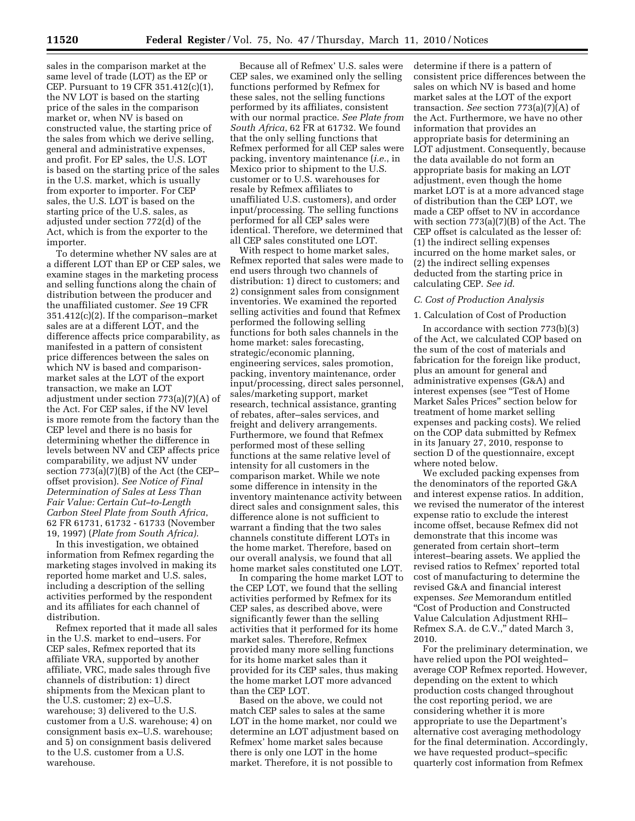sales in the comparison market at the same level of trade (LOT) as the EP or CEP. Pursuant to 19 CFR 351.412(c)(1), the NV LOT is based on the starting price of the sales in the comparison market or, when NV is based on constructed value, the starting price of the sales from which we derive selling, general and administrative expenses, and profit. For EP sales, the U.S. LOT is based on the starting price of the sales in the U.S. market, which is usually from exporter to importer. For CEP sales, the U.S. LOT is based on the starting price of the U.S. sales, as adjusted under section 772(d) of the Act, which is from the exporter to the importer.

To determine whether NV sales are at a different LOT than EP or CEP sales, we examine stages in the marketing process and selling functions along the chain of distribution between the producer and the unaffiliated customer. *See* 19 CFR 351.412(c)(2). If the comparison–market sales are at a different LOT, and the difference affects price comparability, as manifested in a pattern of consistent price differences between the sales on which NV is based and comparisonmarket sales at the LOT of the export transaction, we make an LOT adjustment under section 773(a)(7)(A) of the Act. For CEP sales, if the NV level is more remote from the factory than the CEP level and there is no basis for determining whether the difference in levels between NV and CEP affects price comparability, we adjust NV under section 773(a)(7)(B) of the Act (the CEP– offset provision). *See Notice of Final Determination of Sales at Less Than Fair Value: Certain Cut–to-Length Carbon Steel Plate from South Africa*, 62 FR 61731, 61732 - 61733 (November 19, 1997) (*Plate from South Africa)*.

In this investigation, we obtained information from Refmex regarding the marketing stages involved in making its reported home market and U.S. sales, including a description of the selling activities performed by the respondent and its affiliates for each channel of distribution.

Refmex reported that it made all sales in the U.S. market to end–users. For CEP sales, Refmex reported that its affiliate VRA, supported by another affiliate, VRC, made sales through five channels of distribution: 1) direct shipments from the Mexican plant to the U.S. customer; 2) ex–U.S. warehouse; 3) delivered to the U.S. customer from a U.S. warehouse; 4) on consignment basis ex–U.S. warehouse; and 5) on consignment basis delivered to the U.S. customer from a U.S. warehouse.

Because all of Refmex' U.S. sales were CEP sales, we examined only the selling functions performed by Refmex for these sales, not the selling functions performed by its affiliates, consistent with our normal practice. *See Plate from South Africa*, 62 FR at 61732. We found that the only selling functions that Refmex performed for all CEP sales were packing, inventory maintenance (*i.e.*, in Mexico prior to shipment to the U.S. customer or to U.S. warehouses for resale by Refmex affiliates to unaffiliated U.S. customers), and order input/processing. The selling functions performed for all CEP sales were identical. Therefore, we determined that all CEP sales constituted one LOT.

With respect to home market sales, Refmex reported that sales were made to end users through two channels of distribution: 1) direct to customers; and 2) consignment sales from consignment inventories. We examined the reported selling activities and found that Refmex performed the following selling functions for both sales channels in the home market: sales forecasting, strategic/economic planning, engineering services, sales promotion, packing, inventory maintenance, order input/processing, direct sales personnel, sales/marketing support, market research, technical assistance, granting of rebates, after–sales services, and freight and delivery arrangements. Furthermore, we found that Refmex performed most of these selling functions at the same relative level of intensity for all customers in the comparison market. While we note some difference in intensity in the inventory maintenance activity between direct sales and consignment sales, this difference alone is not sufficient to warrant a finding that the two sales channels constitute different LOTs in the home market. Therefore, based on our overall analysis, we found that all home market sales constituted one LOT.

In comparing the home market LOT to the CEP LOT, we found that the selling activities performed by Refmex for its CEP sales, as described above, were significantly fewer than the selling activities that it performed for its home market sales. Therefore, Refmex provided many more selling functions for its home market sales than it provided for its CEP sales, thus making the home market LOT more advanced than the CEP LOT.

Based on the above, we could not match CEP sales to sales at the same LOT in the home market, nor could we determine an LOT adjustment based on Refmex' home market sales because there is only one LOT in the home market. Therefore, it is not possible to

determine if there is a pattern of consistent price differences between the sales on which NV is based and home market sales at the LOT of the export transaction. *See* section 773(a)(7)(A) of the Act. Furthermore, we have no other information that provides an appropriate basis for determining an LOT adjustment. Consequently, because the data available do not form an appropriate basis for making an LOT adjustment, even though the home market LOT is at a more advanced stage of distribution than the CEP LOT, we made a CEP offset to NV in accordance with section 773(a)(7)(B) of the Act. The CEP offset is calculated as the lesser of: (1) the indirect selling expenses incurred on the home market sales, or (2) the indirect selling expenses deducted from the starting price in calculating CEP. *See id*.

### *C. Cost of Production Analysis*

#### 1. Calculation of Cost of Production

In accordance with section 773(b)(3) of the Act, we calculated COP based on the sum of the cost of materials and fabrication for the foreign like product, plus an amount for general and administrative expenses (G&A) and interest expenses (see ''Test of Home Market Sales Prices'' section below for treatment of home market selling expenses and packing costs). We relied on the COP data submitted by Refmex in its January 27, 2010, response to section D of the questionnaire, except where noted below.

We excluded packing expenses from the denominators of the reported G&A and interest expense ratios. In addition, we revised the numerator of the interest expense ratio to exclude the interest income offset, because Refmex did not demonstrate that this income was generated from certain short–term interest–bearing assets. We applied the revised ratios to Refmex' reported total cost of manufacturing to determine the revised G&A and financial interest expenses. *See* Memorandum entitled ''Cost of Production and Constructed Value Calculation Adjustment RHI– Refmex S.A. de C.V.," dated March 3, 2010.

For the preliminary determination, we have relied upon the POI weighted– average COP Refmex reported. However, depending on the extent to which production costs changed throughout the cost reporting period, we are considering whether it is more appropriate to use the Department's alternative cost averaging methodology for the final determination. Accordingly, we have requested product–specific quarterly cost information from Refmex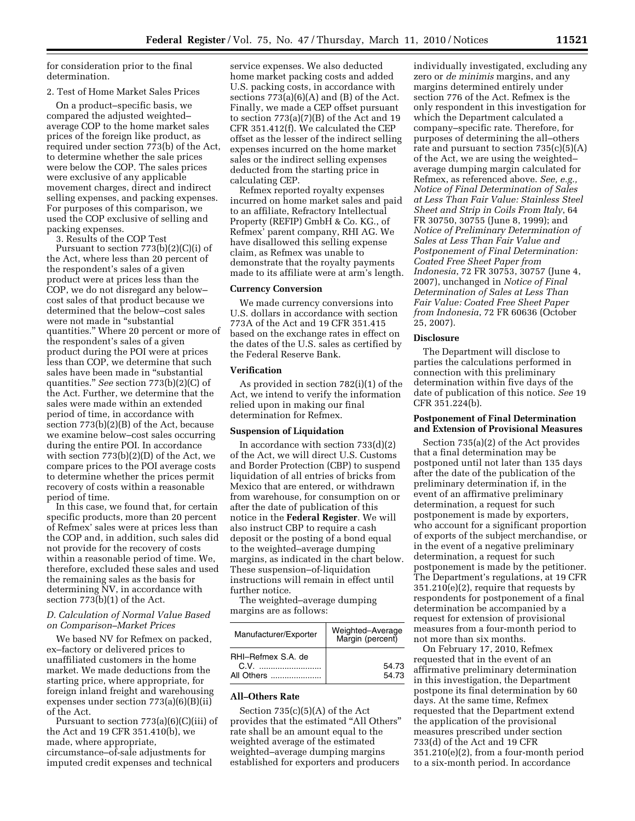for consideration prior to the final determination.

## 2. Test of Home Market Sales Prices

On a product–specific basis, we compared the adjusted weighted– average COP to the home market sales prices of the foreign like product, as required under section 773(b) of the Act, to determine whether the sale prices were below the COP. The sales prices were exclusive of any applicable movement charges, direct and indirect selling expenses, and packing expenses. For purposes of this comparison, we used the COP exclusive of selling and packing expenses.

3. Results of the COP Test Pursuant to section 773(b)(2)(C)(i) of the Act, where less than 20 percent of the respondent's sales of a given product were at prices less than the COP, we do not disregard any below– cost sales of that product because we determined that the below–cost sales were not made in ''substantial quantities.'' Where 20 percent or more of the respondent's sales of a given product during the POI were at prices less than COP, we determine that such sales have been made in ''substantial quantities.'' *See* section 773(b)(2)(C) of the Act. Further, we determine that the sales were made within an extended period of time, in accordance with section 773(b)(2)(B) of the Act, because we examine below–cost sales occurring during the entire POI. In accordance with section 773(b)(2)(D) of the Act, we compare prices to the POI average costs to determine whether the prices permit recovery of costs within a reasonable period of time.

In this case, we found that, for certain specific products, more than 20 percent of Refmex' sales were at prices less than the COP and, in addition, such sales did not provide for the recovery of costs within a reasonable period of time. We, therefore, excluded these sales and used the remaining sales as the basis for determining NV, in accordance with section 773(b)(1) of the Act.

# *D. Calculation of Normal Value Based on Comparison–Market Prices*

We based NV for Refmex on packed, ex–factory or delivered prices to unaffiliated customers in the home market. We made deductions from the starting price, where appropriate, for foreign inland freight and warehousing expenses under section 773(a)(6)(B)(ii) of the Act.

Pursuant to section 773(a)(6)(C)(iii) of the Act and 19 CFR 351.410(b), we made, where appropriate, circumstance–of-sale adjustments for imputed credit expenses and technical

service expenses. We also deducted home market packing costs and added U.S. packing costs, in accordance with sections  $773(a)(6)(A)$  and  $(B)$  of the Act. Finally, we made a CEP offset pursuant to section 773(a)(7)(B) of the Act and 19 CFR 351.412(f). We calculated the CEP offset as the lesser of the indirect selling expenses incurred on the home market sales or the indirect selling expenses deducted from the starting price in calculating CEP.

Refmex reported royalty expenses incurred on home market sales and paid to an affiliate, Refractory Intellectual Property (REFIP) GmbH & Co. KG., of Refmex' parent company, RHI AG. We have disallowed this selling expense claim, as Refmex was unable to demonstrate that the royalty payments made to its affiliate were at arm's length.

### **Currency Conversion**

We made currency conversions into U.S. dollars in accordance with section 773A of the Act and 19 CFR 351.415 based on the exchange rates in effect on the dates of the U.S. sales as certified by the Federal Reserve Bank.

# **Verification**

As provided in section 782(i)(1) of the Act, we intend to verify the information relied upon in making our final determination for Refmex.

#### **Suspension of Liquidation**

In accordance with section  $733(d)(2)$ of the Act, we will direct U.S. Customs and Border Protection (CBP) to suspend liquidation of all entries of bricks from Mexico that are entered, or withdrawn from warehouse, for consumption on or after the date of publication of this notice in the **Federal Register**. We will also instruct CBP to require a cash deposit or the posting of a bond equal to the weighted–average dumping margins, as indicated in the chart below. These suspension–of-liquidation instructions will remain in effect until further notice.

The weighted–average dumping margins are as follows:

| Manufacturer/Exporter                    | Weighted-Average<br>Margin (percent) |
|------------------------------------------|--------------------------------------|
| RHI-Refmex S.A. de<br>C.V.<br>All Others | 54.73<br>54.73                       |

# **All–Others Rate**

Section  $735(c)(5)(A)$  of the Act provides that the estimated ''All Others'' rate shall be an amount equal to the weighted average of the estimated weighted–average dumping margins established for exporters and producers

individually investigated, excluding any zero or *de minimis* margins, and any margins determined entirely under section 776 of the Act. Refmex is the only respondent in this investigation for which the Department calculated a company–specific rate. Therefore, for purposes of determining the all–others rate and pursuant to section 735(c)(5)(A) of the Act, we are using the weighted– average dumping margin calculated for Refmex, as referenced above. *See, e.g., Notice of Final Determination of Sales at Less Than Fair Value: Stainless Steel Sheet and Strip in Coils From Italy*, 64 FR 30750, 30755 (June 8, 1999); and *Notice of Preliminary Determination of Sales at Less Than Fair Value and Postponement of Final Determination: Coated Free Sheet Paper from Indonesia*, 72 FR 30753, 30757 (June 4, 2007), unchanged in *Notice of Final Determination of Sales at Less Than Fair Value: Coated Free Sheet Paper from Indonesia*, 72 FR 60636 (October 25, 2007).

#### **Disclosure**

The Department will disclose to parties the calculations performed in connection with this preliminary determination within five days of the date of publication of this notice. *See* 19 CFR 351.224(b).

# **Postponement of Final Determination and Extension of Provisional Measures**

Section 735(a)(2) of the Act provides that a final determination may be postponed until not later than 135 days after the date of the publication of the preliminary determination if, in the event of an affirmative preliminary determination, a request for such postponement is made by exporters, who account for a significant proportion of exports of the subject merchandise, or in the event of a negative preliminary determination, a request for such postponement is made by the petitioner. The Department's regulations, at 19 CFR 351.210(e)(2), require that requests by respondents for postponement of a final determination be accompanied by a request for extension of provisional measures from a four-month period to not more than six months.

On February 17, 2010, Refmex requested that in the event of an affirmative preliminary determination in this investigation, the Department postpone its final determination by 60 days. At the same time, Refmex requested that the Department extend the application of the provisional measures prescribed under section 733(d) of the Act and 19 CFR 351.210(e)(2), from a four-month period to a six-month period. In accordance